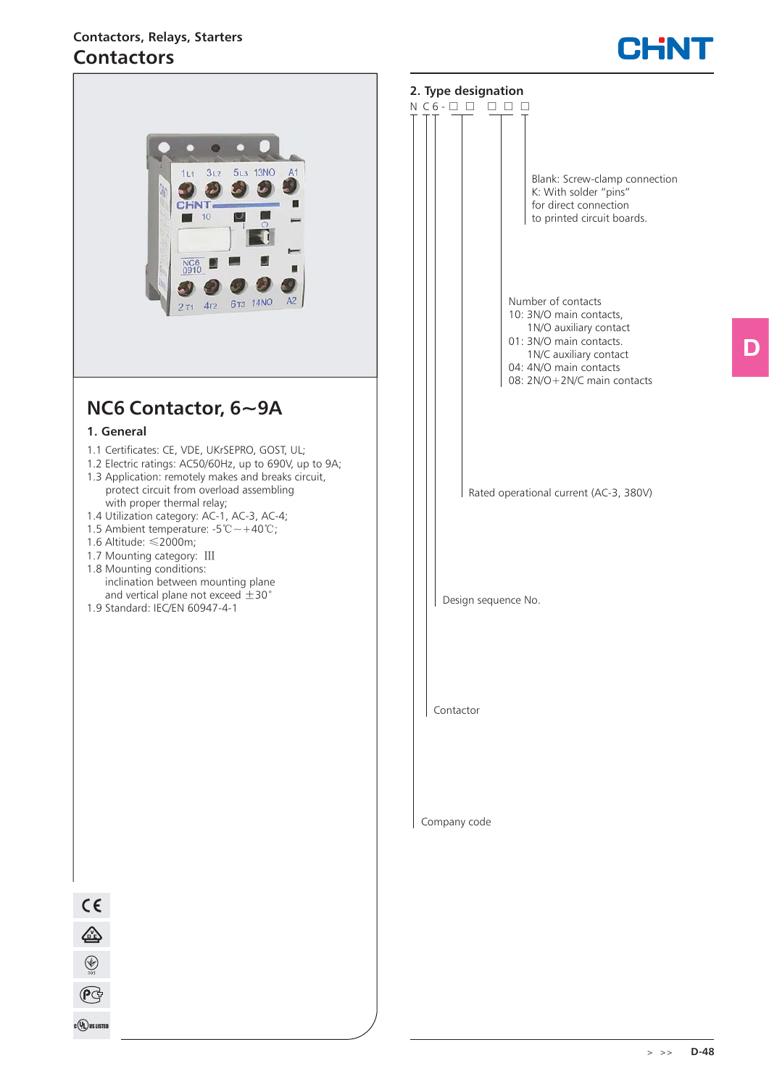# **Contactors, Relays, Starters Contactors**



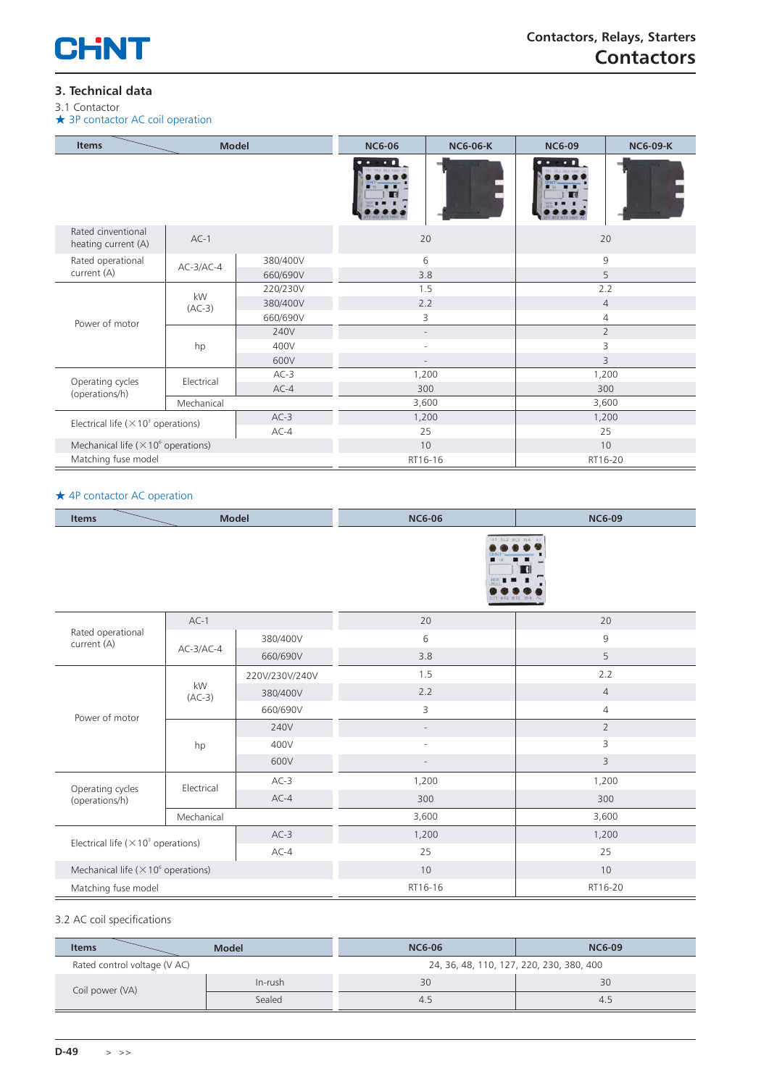

## **3. Technical data**

3.1 Contactor ★ 3P contactor AC coil operation

| <b>Items</b><br><b>Model</b>                                               |                |          | <b>NC6-06</b>            | <b>NC6-06-K</b> | <b>NC6-09</b>  | <b>NC6-09-K</b> |
|----------------------------------------------------------------------------|----------------|----------|--------------------------|-----------------|----------------|-----------------|
|                                                                            |                |          |                          |                 | oл             |                 |
| Rated cinventional<br>heating current (A)                                  | $AC-1$         |          |                          | 20              |                | 20              |
| Rated operational                                                          | $AC-3/AC-4$    | 380/400V |                          | 6               | 9              |                 |
| current (A)                                                                |                | 660/690V |                          | 3.8             | 5              |                 |
|                                                                            | kW<br>$(AC-3)$ | 220/230V |                          | 1.5             | 2.2            |                 |
|                                                                            |                | 380/400V | 2.2                      |                 |                | $\overline{4}$  |
| Power of motor                                                             |                | 660/690V |                          | 3<br>4          |                |                 |
|                                                                            | hp             | 240V     | $\overline{\phantom{a}}$ |                 | $\overline{2}$ |                 |
|                                                                            |                | 400V     | $\sim$                   |                 | 3              |                 |
|                                                                            |                | 600V     |                          |                 | 3              |                 |
| Operating cycles<br>(operations/h)                                         |                | $AC-3$   | 1,200                    |                 | 1,200          |                 |
|                                                                            | Electrical     | $AC-4$   |                          | 300             | 300            |                 |
|                                                                            | Mechanical     |          | 3,600                    |                 | 3,600          |                 |
| $AC-3$<br>Electrical life ( $\times$ 10 <sup>3</sup> operations)<br>$AC-4$ |                |          | 1,200                    | 1,200           |                |                 |
|                                                                            |                |          | 25                       |                 | 25             |                 |
| Mechanical life ( $\times$ 10 <sup>6</sup> operations)                     |                |          | 10                       | 10              |                |                 |
| Matching fuse model                                                        |                |          | RT16-16<br>RT16-20       |                 |                |                 |

#### ★ 4P contactor AC operation

| <b>Model</b><br><b>Items</b>                           |                |                | <b>NC6-06</b>             | <b>NC6-09</b>  |  |
|--------------------------------------------------------|----------------|----------------|---------------------------|----------------|--|
|                                                        |                |                | 11 313 30.5 714           |                |  |
|                                                        | $AC-1$         |                | 20                        | 20             |  |
| Rated operational<br>current (A)                       |                | 380/400V       | 6                         | 9              |  |
|                                                        | $AC-3/AC-4$    | 660/690V       | 3.8                       | 5              |  |
|                                                        | kW<br>$(AC-3)$ | 220V/230V/240V | 1.5                       | 2.2            |  |
|                                                        |                | 380/400V       | 2.2                       | $\overline{4}$ |  |
| Power of motor                                         |                | 660/690V       | $\ensuremath{\mathsf{3}}$ | $\overline{4}$ |  |
|                                                        | hp             | 240V           | $\overline{\phantom{a}}$  | $\overline{2}$ |  |
|                                                        |                | 400V           | $\sim$                    | 3              |  |
|                                                        |                | 600V           |                           | 3              |  |
|                                                        | Electrical     | $AC-3$         | 1,200                     | 1,200          |  |
| Operating cycles<br>(operations/h)                     |                | $AC-4$         | 300                       | 300            |  |
|                                                        | Mechanical     |                | 3,600                     | 3,600          |  |
|                                                        |                | $AC-3$         | 1,200                     | 1,200          |  |
| Electrical life ( $\times$ 10 <sup>3</sup> operations) |                | $AC-4$         | 25                        | 25             |  |
| Mechanical life ( $\times$ 10 $^{\circ}$ operations)   |                | 10             | 10                        |                |  |
| Matching fuse model                                    |                | RT16-16        | RT16-20                   |                |  |

#### 3.2 AC coil specifications

| <b>Items</b>                 | <b>Model</b> | <b>NC6-06</b>                            | <b>NC6-09</b> |  |
|------------------------------|--------------|------------------------------------------|---------------|--|
| Rated control voltage (V AC) |              | 24, 36, 48, 110, 127, 220, 230, 380, 400 |               |  |
| Coil power (VA)              | In-rush      | 30                                       | 30            |  |
|                              | Sealed       | 4.5                                      | 4.5           |  |